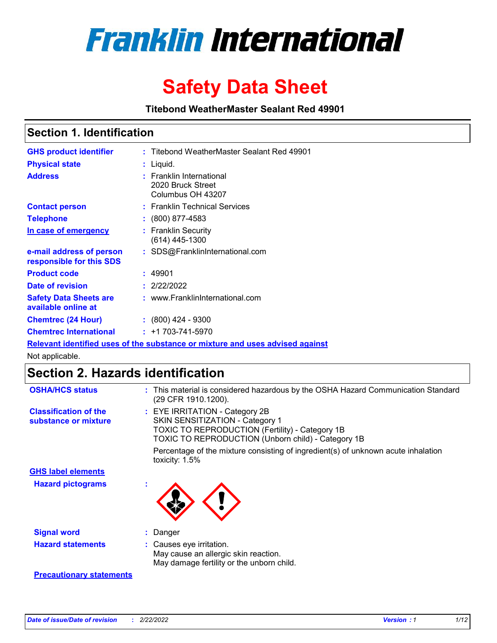

# **Safety Data Sheet**

**Titebond WeatherMaster Sealant Red 49901**

### **Section 1. Identification**

| <b>GHS product identifier</b>                        | : Titebond WeatherMaster Sealant Red 49901                                    |
|------------------------------------------------------|-------------------------------------------------------------------------------|
| <b>Physical state</b>                                | : Liquid.                                                                     |
| <b>Address</b>                                       | : Franklin International<br>2020 Bruck Street<br>Columbus OH 43207            |
| <b>Contact person</b>                                | : Franklin Technical Services                                                 |
| <b>Telephone</b>                                     | $\colon$ (800) 877-4583                                                       |
| In case of emergency                                 | : Franklin Security<br>$(614)$ 445-1300                                       |
| e-mail address of person<br>responsible for this SDS | : SDS@FranklinInternational.com                                               |
| <b>Product code</b>                                  | : 49901                                                                       |
| Date of revision                                     | : 2/22/2022                                                                   |
| <b>Safety Data Sheets are</b><br>available online at | : www.FranklinInternational.com                                               |
| <b>Chemtrec (24 Hour)</b>                            | $: (800)$ 424 - 9300                                                          |
| <b>Chemtrec International</b>                        | $: +1703 - 741 - 5970$                                                        |
|                                                      | Relevant identified uses of the substance or mixture and uses advised against |

Not applicable.

## **Section 2. Hazards identification**

| <b>OSHA/HCS status</b>                               | : This material is considered hazardous by the OSHA Hazard Communication Standard<br>(29 CFR 1910.1200).                                                                                 |
|------------------------------------------------------|------------------------------------------------------------------------------------------------------------------------------------------------------------------------------------------|
| <b>Classification of the</b><br>substance or mixture | : EYE IRRITATION - Category 2B<br>SKIN SENSITIZATION - Category 1<br><b>TOXIC TO REPRODUCTION (Fertility) - Category 1B</b><br><b>TOXIC TO REPRODUCTION (Unborn child) - Category 1B</b> |
|                                                      | Percentage of the mixture consisting of ingredient(s) of unknown acute inhalation<br>toxicity: $1.5\%$                                                                                   |
| <b>GHS label elements</b>                            |                                                                                                                                                                                          |
| <b>Hazard pictograms</b>                             |                                                                                                                                                                                          |
| <b>Signal word</b>                                   | : Danger                                                                                                                                                                                 |
| <b>Hazard statements</b>                             | : Causes eye irritation.<br>May cause an allergic skin reaction.<br>May damage fertility or the unborn child.                                                                            |
| <b>Precautionary statements</b>                      |                                                                                                                                                                                          |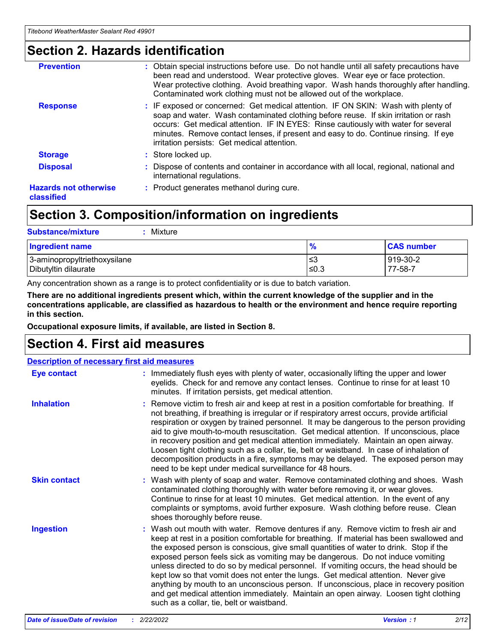### **Section 2. Hazards identification**

| <b>Prevention</b>                          | : Obtain special instructions before use. Do not handle until all safety precautions have<br>been read and understood. Wear protective gloves. Wear eye or face protection.<br>Wear protective clothing. Avoid breathing vapor. Wash hands thoroughly after handling.<br>Contaminated work clothing must not be allowed out of the workplace.                                                        |
|--------------------------------------------|------------------------------------------------------------------------------------------------------------------------------------------------------------------------------------------------------------------------------------------------------------------------------------------------------------------------------------------------------------------------------------------------------|
| <b>Response</b>                            | : IF exposed or concerned: Get medical attention. IF ON SKIN: Wash with plenty of<br>soap and water. Wash contaminated clothing before reuse. If skin irritation or rash<br>occurs: Get medical attention. IF IN EYES: Rinse cautiously with water for several<br>minutes. Remove contact lenses, if present and easy to do. Continue rinsing. If eye<br>irritation persists: Get medical attention. |
| <b>Storage</b>                             | : Store locked up.                                                                                                                                                                                                                                                                                                                                                                                   |
| <b>Disposal</b>                            | : Dispose of contents and container in accordance with all local, regional, national and<br>international regulations.                                                                                                                                                                                                                                                                               |
| <b>Hazards not otherwise</b><br>classified | : Product generates methanol during cure.                                                                                                                                                                                                                                                                                                                                                            |
|                                            |                                                                                                                                                                                                                                                                                                                                                                                                      |

## **Section 3. Composition/information on ingredients**

| <b>Substance/mixture</b><br>Mixture                  |               |                     |
|------------------------------------------------------|---------------|---------------------|
| Ingredient name                                      | $\frac{9}{6}$ | <b>CAS number</b>   |
| 3-aminopropyltriethoxysilane<br>Dibutyltin dilaurate | ∣≤3<br>$≤0.3$ | 919-30-2<br>77-58-7 |

Any concentration shown as a range is to protect confidentiality or is due to batch variation.

**There are no additional ingredients present which, within the current knowledge of the supplier and in the concentrations applicable, are classified as hazardous to health or the environment and hence require reporting in this section.**

**Occupational exposure limits, if available, are listed in Section 8.**

### **Section 4. First aid measures**

| <b>Description of necessary first aid measures</b> |                                                                                                                                                                                                                                                                                                                                                                                                                                                                                                                                                                                                                                                                                                                                                                           |
|----------------------------------------------------|---------------------------------------------------------------------------------------------------------------------------------------------------------------------------------------------------------------------------------------------------------------------------------------------------------------------------------------------------------------------------------------------------------------------------------------------------------------------------------------------------------------------------------------------------------------------------------------------------------------------------------------------------------------------------------------------------------------------------------------------------------------------------|
| <b>Eye contact</b>                                 | : Immediately flush eyes with plenty of water, occasionally lifting the upper and lower<br>eyelids. Check for and remove any contact lenses. Continue to rinse for at least 10<br>minutes. If irritation persists, get medical attention.                                                                                                                                                                                                                                                                                                                                                                                                                                                                                                                                 |
| <b>Inhalation</b>                                  | : Remove victim to fresh air and keep at rest in a position comfortable for breathing. If<br>not breathing, if breathing is irregular or if respiratory arrest occurs, provide artificial<br>respiration or oxygen by trained personnel. It may be dangerous to the person providing<br>aid to give mouth-to-mouth resuscitation. Get medical attention. If unconscious, place<br>in recovery position and get medical attention immediately. Maintain an open airway.<br>Loosen tight clothing such as a collar, tie, belt or waistband. In case of inhalation of<br>decomposition products in a fire, symptoms may be delayed. The exposed person may<br>need to be kept under medical surveillance for 48 hours.                                                       |
| <b>Skin contact</b>                                | : Wash with plenty of soap and water. Remove contaminated clothing and shoes. Wash<br>contaminated clothing thoroughly with water before removing it, or wear gloves.<br>Continue to rinse for at least 10 minutes. Get medical attention. In the event of any<br>complaints or symptoms, avoid further exposure. Wash clothing before reuse. Clean<br>shoes thoroughly before reuse.                                                                                                                                                                                                                                                                                                                                                                                     |
| <b>Ingestion</b>                                   | : Wash out mouth with water. Remove dentures if any. Remove victim to fresh air and<br>keep at rest in a position comfortable for breathing. If material has been swallowed and<br>the exposed person is conscious, give small quantities of water to drink. Stop if the<br>exposed person feels sick as vomiting may be dangerous. Do not induce vomiting<br>unless directed to do so by medical personnel. If vomiting occurs, the head should be<br>kept low so that vomit does not enter the lungs. Get medical attention. Never give<br>anything by mouth to an unconscious person. If unconscious, place in recovery position<br>and get medical attention immediately. Maintain an open airway. Loosen tight clothing<br>such as a collar, tie, belt or waistband. |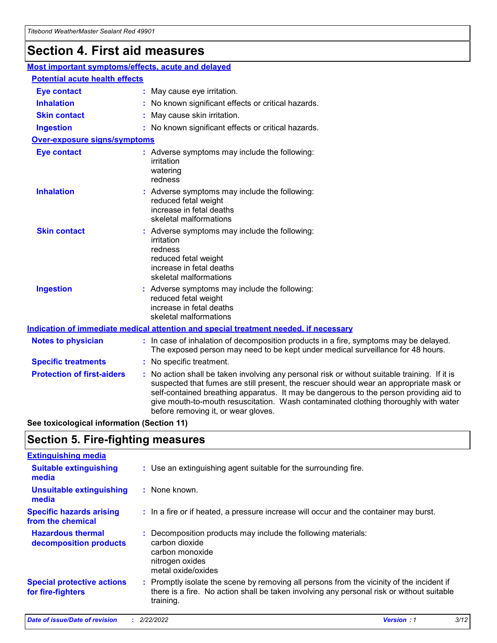## **Section 4. First aid measures**

| Most important symptoms/effects, acute and delayed |  |                                                                                                                                                                                                                                                                                                                                                                                                                 |
|----------------------------------------------------|--|-----------------------------------------------------------------------------------------------------------------------------------------------------------------------------------------------------------------------------------------------------------------------------------------------------------------------------------------------------------------------------------------------------------------|
| <b>Potential acute health effects</b>              |  |                                                                                                                                                                                                                                                                                                                                                                                                                 |
| <b>Eye contact</b>                                 |  | : May cause eye irritation.                                                                                                                                                                                                                                                                                                                                                                                     |
| <b>Inhalation</b>                                  |  | : No known significant effects or critical hazards.                                                                                                                                                                                                                                                                                                                                                             |
| <b>Skin contact</b>                                |  | : May cause skin irritation.                                                                                                                                                                                                                                                                                                                                                                                    |
| <b>Ingestion</b>                                   |  | : No known significant effects or critical hazards.                                                                                                                                                                                                                                                                                                                                                             |
| Over-exposure signs/symptoms                       |  |                                                                                                                                                                                                                                                                                                                                                                                                                 |
| <b>Eye contact</b>                                 |  | : Adverse symptoms may include the following:<br>irritation<br>watering<br>redness                                                                                                                                                                                                                                                                                                                              |
| <b>Inhalation</b>                                  |  | : Adverse symptoms may include the following:<br>reduced fetal weight<br>increase in fetal deaths<br>skeletal malformations                                                                                                                                                                                                                                                                                     |
| <b>Skin contact</b>                                |  | : Adverse symptoms may include the following:<br>irritation<br>redness<br>reduced fetal weight<br>increase in fetal deaths<br>skeletal malformations                                                                                                                                                                                                                                                            |
| <b>Ingestion</b>                                   |  | : Adverse symptoms may include the following:<br>reduced fetal weight<br>increase in fetal deaths<br>skeletal malformations                                                                                                                                                                                                                                                                                     |
|                                                    |  | <b>Indication of immediate medical attention and special treatment needed, if necessary</b>                                                                                                                                                                                                                                                                                                                     |
| <b>Notes to physician</b>                          |  | : In case of inhalation of decomposition products in a fire, symptoms may be delayed.<br>The exposed person may need to be kept under medical surveillance for 48 hours.                                                                                                                                                                                                                                        |
| <b>Specific treatments</b>                         |  | : No specific treatment.                                                                                                                                                                                                                                                                                                                                                                                        |
| <b>Protection of first-aiders</b>                  |  | : No action shall be taken involving any personal risk or without suitable training. If it is<br>suspected that fumes are still present, the rescuer should wear an appropriate mask or<br>self-contained breathing apparatus. It may be dangerous to the person providing aid to<br>give mouth-to-mouth resuscitation. Wash contaminated clothing thoroughly with water<br>before removing it, or wear gloves. |

**See toxicological information (Section 11)**

### **Section 5. Fire-fighting measures**

| <b>Extinguishing media</b>                             |                                                                                                                                                                                                     |
|--------------------------------------------------------|-----------------------------------------------------------------------------------------------------------------------------------------------------------------------------------------------------|
| <b>Suitable extinguishing</b><br>media                 | : Use an extinguishing agent suitable for the surrounding fire.                                                                                                                                     |
| <b>Unsuitable extinguishing</b><br>media               | : None known.                                                                                                                                                                                       |
| <b>Specific hazards arising</b><br>from the chemical   | : In a fire or if heated, a pressure increase will occur and the container may burst.                                                                                                               |
| <b>Hazardous thermal</b><br>decomposition products     | : Decomposition products may include the following materials:<br>carbon dioxide<br>carbon monoxide<br>nitrogen oxides<br>metal oxide/oxides                                                         |
| <b>Special protective actions</b><br>for fire-fighters | : Promptly isolate the scene by removing all persons from the vicinity of the incident if<br>there is a fire. No action shall be taken involving any personal risk or without suitable<br>training. |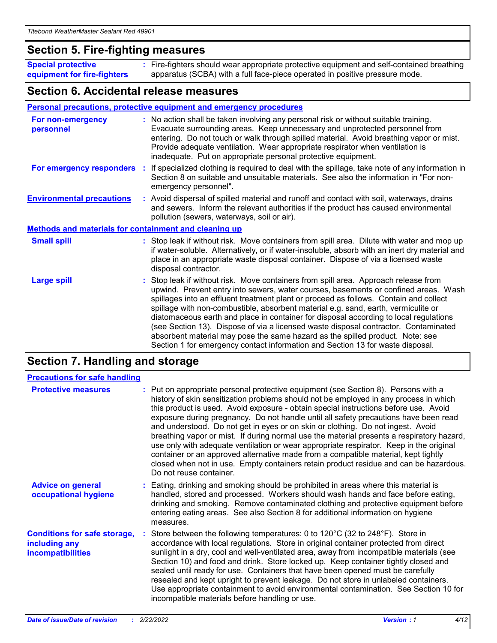### **Section 5. Fire-fighting measures**

**Special protective equipment for fire-fighters** Fire-fighters should wear appropriate protective equipment and self-contained breathing **:** apparatus (SCBA) with a full face-piece operated in positive pressure mode.

### **Section 6. Accidental release measures**

#### **Personal precautions, protective equipment and emergency procedures**

| For non-emergency<br>personnel                               | : No action shall be taken involving any personal risk or without suitable training.<br>Evacuate surrounding areas. Keep unnecessary and unprotected personnel from<br>entering. Do not touch or walk through spilled material. Avoid breathing vapor or mist.<br>Provide adequate ventilation. Wear appropriate respirator when ventilation is<br>inadequate. Put on appropriate personal protective equipment.                                                                                                                                                                                                                                                                                             |
|--------------------------------------------------------------|--------------------------------------------------------------------------------------------------------------------------------------------------------------------------------------------------------------------------------------------------------------------------------------------------------------------------------------------------------------------------------------------------------------------------------------------------------------------------------------------------------------------------------------------------------------------------------------------------------------------------------------------------------------------------------------------------------------|
| For emergency responders                                     | : If specialized clothing is required to deal with the spillage, take note of any information in<br>Section 8 on suitable and unsuitable materials. See also the information in "For non-<br>emergency personnel".                                                                                                                                                                                                                                                                                                                                                                                                                                                                                           |
| <b>Environmental precautions</b>                             | : Avoid dispersal of spilled material and runoff and contact with soil, waterways, drains<br>and sewers. Inform the relevant authorities if the product has caused environmental<br>pollution (sewers, waterways, soil or air).                                                                                                                                                                                                                                                                                                                                                                                                                                                                              |
| <b>Methods and materials for containment and cleaning up</b> |                                                                                                                                                                                                                                                                                                                                                                                                                                                                                                                                                                                                                                                                                                              |
| <b>Small spill</b>                                           | : Stop leak if without risk. Move containers from spill area. Dilute with water and mop up<br>if water-soluble. Alternatively, or if water-insoluble, absorb with an inert dry material and<br>place in an appropriate waste disposal container. Dispose of via a licensed waste<br>disposal contractor.                                                                                                                                                                                                                                                                                                                                                                                                     |
| <b>Large spill</b>                                           | : Stop leak if without risk. Move containers from spill area. Approach release from<br>upwind. Prevent entry into sewers, water courses, basements or confined areas. Wash<br>spillages into an effluent treatment plant or proceed as follows. Contain and collect<br>spillage with non-combustible, absorbent material e.g. sand, earth, vermiculite or<br>diatomaceous earth and place in container for disposal according to local regulations<br>(see Section 13). Dispose of via a licensed waste disposal contractor. Contaminated<br>absorbent material may pose the same hazard as the spilled product. Note: see<br>Section 1 for emergency contact information and Section 13 for waste disposal. |

### **Section 7. Handling and storage**

| <b>Precautions for safe handling</b>                                             |                                                                                                                                                                                                                                                                                                                                                                                                                                                                                                                                                                                                                                                                                                                                                                                                                                                  |
|----------------------------------------------------------------------------------|--------------------------------------------------------------------------------------------------------------------------------------------------------------------------------------------------------------------------------------------------------------------------------------------------------------------------------------------------------------------------------------------------------------------------------------------------------------------------------------------------------------------------------------------------------------------------------------------------------------------------------------------------------------------------------------------------------------------------------------------------------------------------------------------------------------------------------------------------|
| <b>Protective measures</b>                                                       | : Put on appropriate personal protective equipment (see Section 8). Persons with a<br>history of skin sensitization problems should not be employed in any process in which<br>this product is used. Avoid exposure - obtain special instructions before use. Avoid<br>exposure during pregnancy. Do not handle until all safety precautions have been read<br>and understood. Do not get in eyes or on skin or clothing. Do not ingest. Avoid<br>breathing vapor or mist. If during normal use the material presents a respiratory hazard,<br>use only with adequate ventilation or wear appropriate respirator. Keep in the original<br>container or an approved alternative made from a compatible material, kept tightly<br>closed when not in use. Empty containers retain product residue and can be hazardous.<br>Do not reuse container. |
| <b>Advice on general</b><br>occupational hygiene                                 | : Eating, drinking and smoking should be prohibited in areas where this material is<br>handled, stored and processed. Workers should wash hands and face before eating,<br>drinking and smoking. Remove contaminated clothing and protective equipment before<br>entering eating areas. See also Section 8 for additional information on hygiene<br>measures.                                                                                                                                                                                                                                                                                                                                                                                                                                                                                    |
| <b>Conditions for safe storage,</b><br>including any<br><b>incompatibilities</b> | Store between the following temperatures: 0 to 120 $\degree$ C (32 to 248 $\degree$ F). Store in<br>accordance with local regulations. Store in original container protected from direct<br>sunlight in a dry, cool and well-ventilated area, away from incompatible materials (see<br>Section 10) and food and drink. Store locked up. Keep container tightly closed and<br>sealed until ready for use. Containers that have been opened must be carefully<br>resealed and kept upright to prevent leakage. Do not store in unlabeled containers.<br>Use appropriate containment to avoid environmental contamination. See Section 10 for<br>incompatible materials before handling or use.                                                                                                                                                     |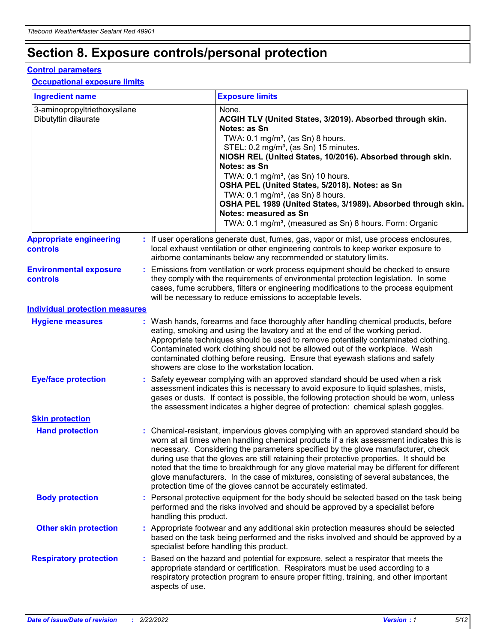## **Section 8. Exposure controls/personal protection**

#### **Control parameters**

#### **Occupational exposure limits**

| <b>Ingredient name</b>                               |    |                        | <b>Exposure limits</b>                                                                                                                                                                                                                                                                                                                                                                                                                                                                                                                                                                                                 |
|------------------------------------------------------|----|------------------------|------------------------------------------------------------------------------------------------------------------------------------------------------------------------------------------------------------------------------------------------------------------------------------------------------------------------------------------------------------------------------------------------------------------------------------------------------------------------------------------------------------------------------------------------------------------------------------------------------------------------|
| 3-aminopropyltriethoxysilane<br>Dibutyltin dilaurate |    |                        | None.<br>ACGIH TLV (United States, 3/2019). Absorbed through skin.<br>Notes: as Sn<br>TWA: 0.1 mg/m <sup>3</sup> , (as Sn) 8 hours.<br>STEL: 0.2 mg/m <sup>3</sup> , (as Sn) 15 minutes.<br>NIOSH REL (United States, 10/2016). Absorbed through skin.<br>Notes: as Sn<br>TWA: 0.1 mg/m <sup>3</sup> , (as Sn) 10 hours.<br>OSHA PEL (United States, 5/2018). Notes: as Sn<br>TWA: $0.1 \text{ mg/m}^3$ , (as Sn) 8 hours.<br>OSHA PEL 1989 (United States, 3/1989). Absorbed through skin.<br>Notes: measured as Sn<br>TWA: 0.1 mg/m <sup>3</sup> , (measured as Sn) 8 hours. Form: Organic                           |
| <b>Appropriate engineering</b><br>controls           |    |                        | : If user operations generate dust, fumes, gas, vapor or mist, use process enclosures,<br>local exhaust ventilation or other engineering controls to keep worker exposure to<br>airborne contaminants below any recommended or statutory limits.                                                                                                                                                                                                                                                                                                                                                                       |
| <b>Environmental exposure</b><br>controls            |    |                        | Emissions from ventilation or work process equipment should be checked to ensure<br>they comply with the requirements of environmental protection legislation. In some<br>cases, fume scrubbers, filters or engineering modifications to the process equipment<br>will be necessary to reduce emissions to acceptable levels.                                                                                                                                                                                                                                                                                          |
| <b>Individual protection measures</b>                |    |                        |                                                                                                                                                                                                                                                                                                                                                                                                                                                                                                                                                                                                                        |
| <b>Hygiene measures</b>                              |    |                        | : Wash hands, forearms and face thoroughly after handling chemical products, before<br>eating, smoking and using the lavatory and at the end of the working period.<br>Appropriate techniques should be used to remove potentially contaminated clothing.<br>Contaminated work clothing should not be allowed out of the workplace. Wash<br>contaminated clothing before reusing. Ensure that eyewash stations and safety<br>showers are close to the workstation location.                                                                                                                                            |
| <b>Eye/face protection</b>                           |    |                        | : Safety eyewear complying with an approved standard should be used when a risk<br>assessment indicates this is necessary to avoid exposure to liquid splashes, mists,<br>gases or dusts. If contact is possible, the following protection should be worn, unless<br>the assessment indicates a higher degree of protection: chemical splash goggles.                                                                                                                                                                                                                                                                  |
| <b>Skin protection</b>                               |    |                        |                                                                                                                                                                                                                                                                                                                                                                                                                                                                                                                                                                                                                        |
| <b>Hand protection</b>                               |    |                        | : Chemical-resistant, impervious gloves complying with an approved standard should be<br>worn at all times when handling chemical products if a risk assessment indicates this is<br>necessary. Considering the parameters specified by the glove manufacturer, check<br>during use that the gloves are still retaining their protective properties. It should be<br>noted that the time to breakthrough for any glove material may be different for different<br>glove manufacturers. In the case of mixtures, consisting of several substances, the<br>protection time of the gloves cannot be accurately estimated. |
| <b>Body protection</b>                               |    | handling this product. | Personal protective equipment for the body should be selected based on the task being<br>performed and the risks involved and should be approved by a specialist before                                                                                                                                                                                                                                                                                                                                                                                                                                                |
| <b>Other skin protection</b>                         |    |                        | : Appropriate footwear and any additional skin protection measures should be selected<br>based on the task being performed and the risks involved and should be approved by a<br>specialist before handling this product.                                                                                                                                                                                                                                                                                                                                                                                              |
| <b>Respiratory protection</b>                        | ÷. | aspects of use.        | Based on the hazard and potential for exposure, select a respirator that meets the<br>appropriate standard or certification. Respirators must be used according to a<br>respiratory protection program to ensure proper fitting, training, and other important                                                                                                                                                                                                                                                                                                                                                         |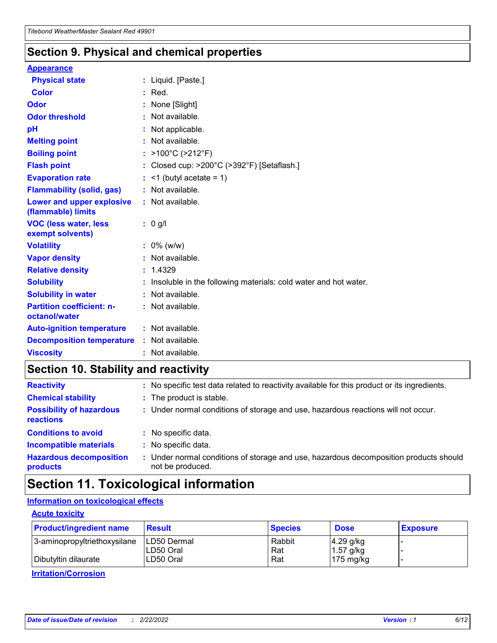### **Section 9. Physical and chemical properties**

#### **Appearance**

| <b>Physical state</b>                             | : Liquid. [Paste.]                                              |
|---------------------------------------------------|-----------------------------------------------------------------|
| <b>Color</b>                                      | $:$ Red.                                                        |
| Odor                                              | None [Slight]                                                   |
| <b>Odor threshold</b>                             | : Not available.                                                |
| рH                                                | : Not applicable.                                               |
| <b>Melting point</b>                              | : Not available.                                                |
| <b>Boiling point</b>                              | : >100°C (>212°F)                                               |
| <b>Flash point</b>                                | : Closed cup: >200°C (>392°F) [Setaflash.]                      |
| <b>Evaporation rate</b>                           | $:$ <1 (butyl acetate = 1)                                      |
| <b>Flammability (solid, gas)</b>                  | : Not available.                                                |
| Lower and upper explosive<br>(flammable) limits   | : Not available.                                                |
| <b>VOC (less water, less</b><br>exempt solvents)  | $: 0$ g/l                                                       |
|                                                   |                                                                 |
| <b>Volatility</b>                                 | $: 0\%$ (w/w)                                                   |
| <b>Vapor density</b>                              | : Not available.                                                |
| <b>Relative density</b>                           | : 1.4329                                                        |
| <b>Solubility</b>                                 | Insoluble in the following materials: cold water and hot water. |
| <b>Solubility in water</b>                        | : Not available.                                                |
| <b>Partition coefficient: n-</b><br>octanol/water | $:$ Not available.                                              |
| <b>Auto-ignition temperature</b>                  | : Not available.                                                |
| <b>Decomposition temperature</b>                  | : Not available.                                                |

## **Section 10. Stability and reactivity**

| <b>Reactivity</b>                            |    | : No specific test data related to reactivity available for this product or its ingredients.            |
|----------------------------------------------|----|---------------------------------------------------------------------------------------------------------|
| <b>Chemical stability</b>                    |    | : The product is stable.                                                                                |
| <b>Possibility of hazardous</b><br>reactions |    | : Under normal conditions of storage and use, hazardous reactions will not occur.                       |
| <b>Conditions to avoid</b>                   |    | : No specific data.                                                                                     |
| <b>Incompatible materials</b>                | ٠. | No specific data.                                                                                       |
| <b>Hazardous decomposition</b><br>products   | ÷. | Under normal conditions of storage and use, hazardous decomposition products should<br>not be produced. |

## **Section 11. Toxicological information**

### **Information on toxicological effects**

#### **Acute toxicity**

| <b>Product/ingredient name</b> | <b>Result</b>           | <b>Species</b> | <b>Dose</b>                | <b>Exposure</b> |
|--------------------------------|-------------------------|----------------|----------------------------|-----------------|
| 3-aminopropyltriethoxysilane   | <b>ILD50 Dermal</b>     | Rabbit         | 4.29 g/kg                  |                 |
| Dibutyltin dilaurate           | ILD50 Oral<br>LD50 Oral | Rat<br>Rat     | $1.57$ g/kg<br>175 $mg/kg$ |                 |
|                                |                         |                |                            |                 |

**Irritation/Corrosion**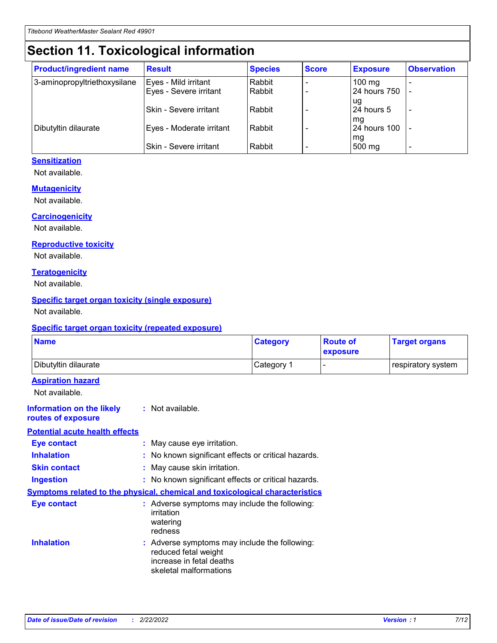## **Section 11. Toxicological information**

| <b>Product/ingredient name</b> | <b>Result</b>            | <b>Species</b> | <b>Score</b> | <b>Exposure</b>           | <b>Observation</b> |
|--------------------------------|--------------------------|----------------|--------------|---------------------------|--------------------|
| 3-aminopropyltriethoxysilane   | Eyes - Mild irritant     | Rabbit         |              | $100$ mg                  |                    |
|                                | Eyes - Severe irritant   | Rabbit         |              | 24 hours 750              |                    |
|                                |                          |                |              | ug                        |                    |
|                                | Skin - Severe irritant   | Rabbit         |              | 24 hours 5                | -                  |
| Dibutyltin dilaurate           | Eyes - Moderate irritant | Rabbit         |              | mq<br><b>24 hours 100</b> |                    |
|                                |                          |                |              | mg                        |                    |
|                                | Skin - Severe irritant   | Rabbit         |              | 500 mg                    |                    |

#### **Sensitization**

Not available.

#### **Mutagenicity**

Not available.

#### **Carcinogenicity**

Not available.

#### **Reproductive toxicity**

Not available.

#### **Teratogenicity**

Not available.

#### **Specific target organ toxicity (single exposure)**

Not available.

#### **Specific target organ toxicity (repeated exposure)**

| <b>Name</b>                                                                         |                                                                            | <b>Category</b>                                     | <b>Route of</b><br>exposure | <b>Target organs</b> |
|-------------------------------------------------------------------------------------|----------------------------------------------------------------------------|-----------------------------------------------------|-----------------------------|----------------------|
| Dibutyltin dilaurate                                                                |                                                                            | Category 1                                          |                             | respiratory system   |
| <b>Aspiration hazard</b><br>Not available.                                          |                                                                            |                                                     |                             |                      |
| <b>Information on the likely</b><br>routes of exposure                              | : Not available.                                                           |                                                     |                             |                      |
| <b>Potential acute health effects</b>                                               |                                                                            |                                                     |                             |                      |
| <b>Eye contact</b>                                                                  | : May cause eye irritation.                                                |                                                     |                             |                      |
| <b>Inhalation</b>                                                                   |                                                                            | : No known significant effects or critical hazards. |                             |                      |
| <b>Skin contact</b>                                                                 | : May cause skin irritation.                                               |                                                     |                             |                      |
| <b>Ingestion</b>                                                                    |                                                                            | : No known significant effects or critical hazards. |                             |                      |
| <b>Symptoms related to the physical, chemical and toxicological characteristics</b> |                                                                            |                                                     |                             |                      |
| <b>Eye contact</b>                                                                  | irritation<br>watering<br>redness                                          | : Adverse symptoms may include the following:       |                             |                      |
| <b>Inhalation</b>                                                                   | reduced fetal weight<br>increase in fetal deaths<br>skeletal malformations | : Adverse symptoms may include the following:       |                             |                      |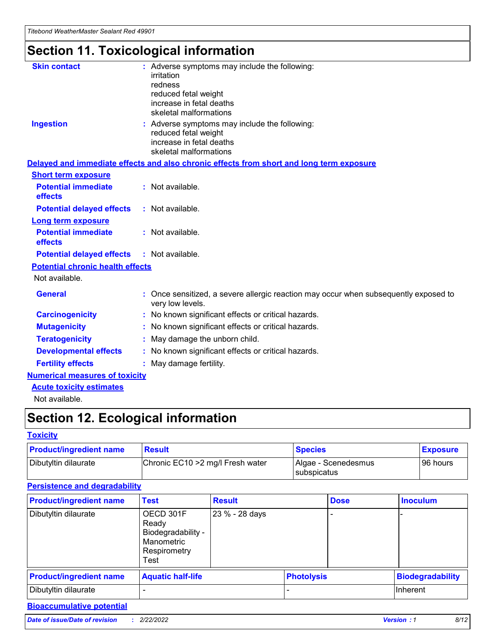## **Section 11. Toxicological information**

| <b>Skin contact</b>                     |                                                                                                          |
|-----------------------------------------|----------------------------------------------------------------------------------------------------------|
|                                         | : Adverse symptoms may include the following:<br>irritation                                              |
|                                         | redness                                                                                                  |
|                                         | reduced fetal weight                                                                                     |
|                                         | increase in fetal deaths                                                                                 |
|                                         | skeletal malformations                                                                                   |
| <b>Ingestion</b>                        | : Adverse symptoms may include the following:                                                            |
|                                         | reduced fetal weight                                                                                     |
|                                         | increase in fetal deaths                                                                                 |
|                                         | skeletal malformations                                                                                   |
|                                         | Delayed and immediate effects and also chronic effects from short and long term exposure                 |
| <b>Short term exposure</b>              |                                                                                                          |
| <b>Potential immediate</b>              | : Not available.                                                                                         |
| effects                                 |                                                                                                          |
| <b>Potential delayed effects</b>        | : Not available.                                                                                         |
| <b>Long term exposure</b>               |                                                                                                          |
| <b>Potential immediate</b>              | : Not available.                                                                                         |
| effects                                 |                                                                                                          |
| <b>Potential delayed effects</b>        | : Not available.                                                                                         |
| <b>Potential chronic health effects</b> |                                                                                                          |
| Not available.                          |                                                                                                          |
| <b>General</b>                          | : Once sensitized, a severe allergic reaction may occur when subsequently exposed to<br>very low levels. |
| <b>Carcinogenicity</b>                  | : No known significant effects or critical hazards.                                                      |
| <b>Mutagenicity</b>                     | No known significant effects or critical hazards.                                                        |
| <b>Teratogenicity</b>                   | May damage the unborn child.                                                                             |
| <b>Developmental effects</b>            | No known significant effects or critical hazards.                                                        |
| <b>Fertility effects</b>                | : May damage fertility.                                                                                  |
| <b>Numerical measures of toxicity</b>   |                                                                                                          |
| <b>Acute toxicity estimates</b>         |                                                                                                          |
|                                         |                                                                                                          |

Not available.

## **Section 12. Ecological information**

#### **Toxicity**

| <b>Product/ingredient name</b> | <b>Result</b>                     | <b>Species</b>                       | <b>Exposure</b> |
|--------------------------------|-----------------------------------|--------------------------------------|-----------------|
| Dibutyltin dilaurate           | Chronic EC10 > 2 mg/l Fresh water | Algae - Scenedesmus<br>I subspicatus | l 96 hours      |

### **Persistence and degradability**

| <b>Product/ingredient name</b> | <b>Test</b>                                                                    | <b>Result</b>  |                   | <b>Dose</b> | <b>Inoculum</b>         |
|--------------------------------|--------------------------------------------------------------------------------|----------------|-------------------|-------------|-------------------------|
| Dibutyltin dilaurate           | OECD 301F<br>Ready<br>Biodegradability -<br>Manometric<br>Respirometry<br>Test | 23 % - 28 days |                   |             |                         |
| <b>Product/ingredient name</b> | <b>Aquatic half-life</b>                                                       |                | <b>Photolysis</b> |             | <b>Biodegradability</b> |
| Dibutyltin dilaurate           |                                                                                |                |                   |             | Inherent                |

### **Bioaccumulative potential**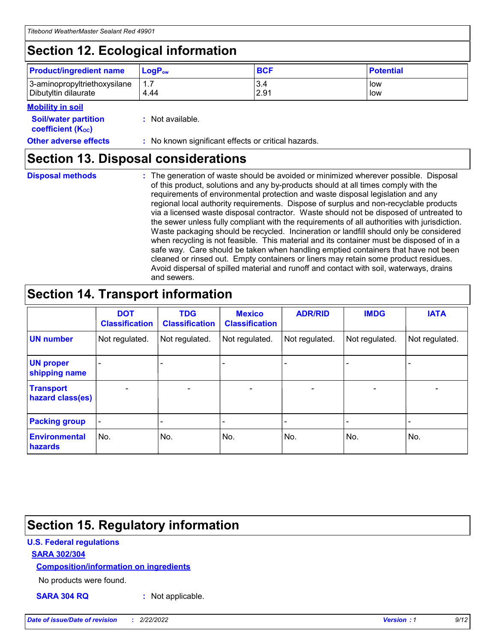## **Section 12. Ecological information**

| <b>Product/ingredient name</b>                       | ∣LoqP <sub>ow</sub> | <b>BCF</b>  | <b>Potential</b> |
|------------------------------------------------------|---------------------|-------------|------------------|
| 3-aminopropyltriethoxysilane<br>Dibutyltin dilaurate | 1.1<br>4.44         | 3.4<br>2.91 | low<br>low       |

#### **Mobility in soil**

| <b>Soil/water partition</b><br>coefficient (K <sub>oc</sub> ) | : Not available.                                    |
|---------------------------------------------------------------|-----------------------------------------------------|
| <b>Other adverse effects</b>                                  | : No known significant effects or critical hazards. |

### **Section 13. Disposal considerations**

|  | <b>Disposal methods</b> |  |
|--|-------------------------|--|

**Disposal methods** : The generation of waste should be avoided or minimized wherever possible. Disposal of this product, solutions and any by-products should at all times comply with the requirements of environmental protection and waste disposal legislation and any regional local authority requirements. Dispose of surplus and non-recyclable products via a licensed waste disposal contractor. Waste should not be disposed of untreated to the sewer unless fully compliant with the requirements of all authorities with jurisdiction. Waste packaging should be recycled. Incineration or landfill should only be considered when recycling is not feasible. This material and its container must be disposed of in a safe way. Care should be taken when handling emptied containers that have not been cleaned or rinsed out. Empty containers or liners may retain some product residues. Avoid dispersal of spilled material and runoff and contact with soil, waterways, drains and sewers.

## **Section 14. Transport information**

|                                      | <b>DOT</b><br><b>Classification</b> | <b>TDG</b><br><b>Classification</b> | <b>Mexico</b><br><b>Classification</b> | <b>ADR/RID</b>           | <b>IMDG</b>              | <b>IATA</b>              |
|--------------------------------------|-------------------------------------|-------------------------------------|----------------------------------------|--------------------------|--------------------------|--------------------------|
| <b>UN number</b>                     | Not regulated.                      | Not regulated.                      | Not regulated.                         | Not regulated.           | Not regulated.           | Not regulated.           |
| <b>UN proper</b><br>shipping name    |                                     |                                     |                                        |                          |                          |                          |
| <b>Transport</b><br>hazard class(es) | $\overline{\phantom{0}}$            | $\overline{\phantom{0}}$            | $\overline{\phantom{0}}$               | $\overline{\phantom{0}}$ | $\overline{\phantom{0}}$ | $\overline{\phantom{0}}$ |
| <b>Packing group</b>                 | $\overline{\phantom{a}}$            |                                     |                                        |                          | -                        |                          |
| <b>Environmental</b><br>hazards      | No.                                 | No.                                 | No.                                    | No.                      | No.                      | No.                      |

### **Section 15. Regulatory information**

#### **U.S. Federal regulations**

#### **SARA 302/304**

#### **Composition/information on ingredients**

No products were found.

**SARA 304 RQ :** Not applicable.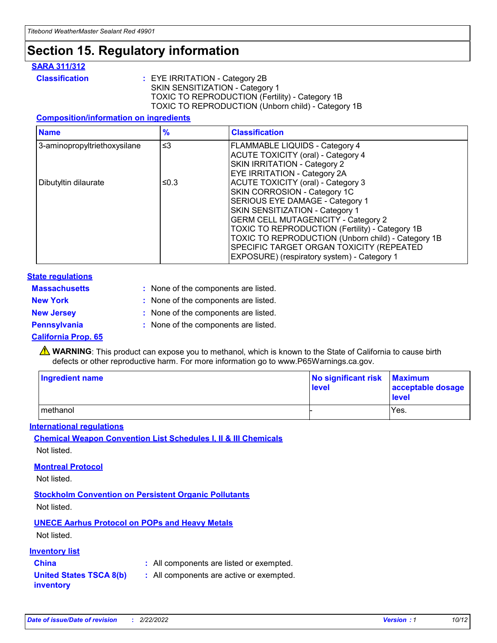## **Section 15. Regulatory information**

#### **SARA 311/312**

**Classification :** EYE IRRITATION - Category 2B SKIN SENSITIZATION - Category 1 TOXIC TO REPRODUCTION (Fertility) - Category 1B TOXIC TO REPRODUCTION (Unborn child) - Category 1B

#### **Composition/information on ingredients**

| <b>Name</b>                  | $\frac{9}{6}$ | <b>Classification</b>                                                                                            |
|------------------------------|---------------|------------------------------------------------------------------------------------------------------------------|
| 3-aminopropyltriethoxysilane | $\leq$ 3      | <b>FLAMMABLE LIQUIDS - Category 4</b><br><b>ACUTE TOXICITY (oral) - Category 4</b>                               |
|                              |               | SKIN IRRITATION - Category 2<br>EYE IRRITATION - Category 2A                                                     |
| Dibutyltin dilaurate         | ≤0.3          | ACUTE TOXICITY (oral) - Category 3<br>SKIN CORROSION - Category 1C                                               |
|                              |               | SERIOUS EYE DAMAGE - Category 1<br>SKIN SENSITIZATION - Category 1<br><b>GERM CELL MUTAGENICITY - Category 2</b> |
|                              |               | TOXIC TO REPRODUCTION (Fertility) - Category 1B<br>TOXIC TO REPRODUCTION (Unborn child) - Category 1B            |
|                              |               | SPECIFIC TARGET ORGAN TOXICITY (REPEATED<br>EXPOSURE) (respiratory system) - Category 1                          |

#### **State regulations**

| <b>Massachusetts</b> | : None of the components are listed. |
|----------------------|--------------------------------------|
| <b>New York</b>      | : None of the components are listed. |
| <b>New Jersey</b>    | : None of the components are listed. |
| <b>Pennsylvania</b>  | : None of the components are listed. |

#### **California Prop. 65**

**A** WARNING: This product can expose you to methanol, which is known to the State of California to cause birth defects or other reproductive harm. For more information go to www.P65Warnings.ca.gov.

| <b>Ingredient name</b> | No significant risk Maximum<br>level | acceptable dosage<br>level |
|------------------------|--------------------------------------|----------------------------|
| methanol               |                                      | Yes.                       |

#### **International regulations**

**Chemical Weapon Convention List Schedules I, II & III Chemicals** Not listed.

#### **Montreal Protocol**

Not listed.

**Stockholm Convention on Persistent Organic Pollutants**

Not listed.

### **UNECE Aarhus Protocol on POPs and Heavy Metals**

Not listed.

#### **Inventory list**

### **China :** All components are listed or exempted.

**United States TSCA 8(b) inventory :** All components are active or exempted.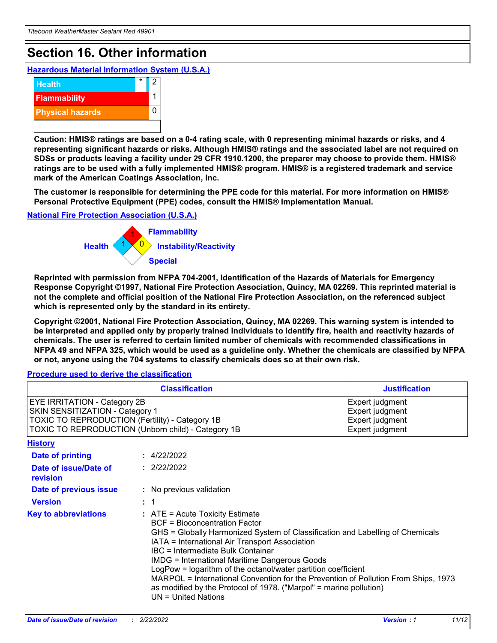## **Section 16. Other information**

**Hazardous Material Information System (U.S.A.)**



**Caution: HMIS® ratings are based on a 0-4 rating scale, with 0 representing minimal hazards or risks, and 4 representing significant hazards or risks. Although HMIS® ratings and the associated label are not required on SDSs or products leaving a facility under 29 CFR 1910.1200, the preparer may choose to provide them. HMIS® ratings are to be used with a fully implemented HMIS® program. HMIS® is a registered trademark and service mark of the American Coatings Association, Inc.**

**The customer is responsible for determining the PPE code for this material. For more information on HMIS® Personal Protective Equipment (PPE) codes, consult the HMIS® Implementation Manual.**

#### **National Fire Protection Association (U.S.A.)**



**Reprinted with permission from NFPA 704-2001, Identification of the Hazards of Materials for Emergency Response Copyright ©1997, National Fire Protection Association, Quincy, MA 02269. This reprinted material is not the complete and official position of the National Fire Protection Association, on the referenced subject which is represented only by the standard in its entirety.**

**Copyright ©2001, National Fire Protection Association, Quincy, MA 02269. This warning system is intended to be interpreted and applied only by properly trained individuals to identify fire, health and reactivity hazards of chemicals. The user is referred to certain limited number of chemicals with recommended classifications in NFPA 49 and NFPA 325, which would be used as a guideline only. Whether the chemicals are classified by NFPA or not, anyone using the 704 systems to classify chemicals does so at their own risk.**

#### **Procedure used to derive the classification**

|                                                                                                                    | <b>Classification</b>                                                                                                                                                                                                                                                                                                                                                                                                                                                                                                                                         | <b>Justification</b>                                                     |
|--------------------------------------------------------------------------------------------------------------------|---------------------------------------------------------------------------------------------------------------------------------------------------------------------------------------------------------------------------------------------------------------------------------------------------------------------------------------------------------------------------------------------------------------------------------------------------------------------------------------------------------------------------------------------------------------|--------------------------------------------------------------------------|
| EYE IRRITATION - Category 2B<br>SKIN SENSITIZATION - Category 1<br>TOXIC TO REPRODUCTION (Fertility) - Category 1B | TOXIC TO REPRODUCTION (Unborn child) - Category 1B                                                                                                                                                                                                                                                                                                                                                                                                                                                                                                            | Expert judgment<br>Expert judgment<br>Expert judgment<br>Expert judgment |
| <b>History</b>                                                                                                     |                                                                                                                                                                                                                                                                                                                                                                                                                                                                                                                                                               |                                                                          |
| <b>Date of printing</b>                                                                                            | : 4/22/2022                                                                                                                                                                                                                                                                                                                                                                                                                                                                                                                                                   |                                                                          |
| Date of issue/Date of<br>revision                                                                                  | : 2/22/2022                                                                                                                                                                                                                                                                                                                                                                                                                                                                                                                                                   |                                                                          |
| Date of previous issue                                                                                             | : No previous validation                                                                                                                                                                                                                                                                                                                                                                                                                                                                                                                                      |                                                                          |
| <b>Version</b>                                                                                                     | : 1                                                                                                                                                                                                                                                                                                                                                                                                                                                                                                                                                           |                                                                          |
| <b>Key to abbreviations</b>                                                                                        | $:$ ATE = Acute Toxicity Estimate<br><b>BCF</b> = Bioconcentration Factor<br>GHS = Globally Harmonized System of Classification and Labelling of Chemicals<br>IATA = International Air Transport Association<br>IBC = Intermediate Bulk Container<br><b>IMDG = International Maritime Dangerous Goods</b><br>LogPow = logarithm of the octanol/water partition coefficient<br>MARPOL = International Convention for the Prevention of Pollution From Ships, 1973<br>as modified by the Protocol of 1978. ("Marpol" = marine pollution)<br>UN = United Nations |                                                                          |